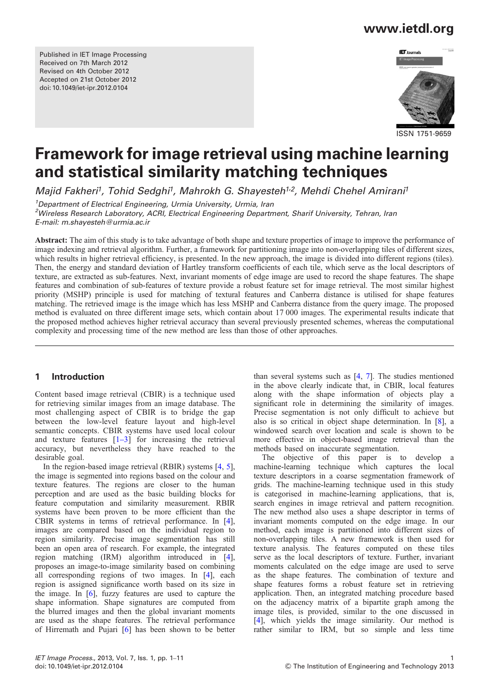Published in IET Image Processing Received on 7th March 2012 Revised on 4th October 2012 Accepted on 21st October 2012 doi: 10.1049/iet-ipr.2012.0104



ISSN 1751-9659

# Framework for image retrieval using machine learning and statistical similarity matching techniques

Majid Fakheri<sup>1</sup>, Tohid Sedghi<sup>1</sup>, Mahrokh G. Shayesteh<sup>1,2</sup>, Mehdi Chehel Amirani<sup>1</sup>

<sup>1</sup> Department of Electrical Engineering, Urmia University, Urmia, Iran <sup>2</sup>Wireless Research Laboratory, ACRI, Electrical Engineering Department, Sharif University, Tehran, Iran E-mail: m.shayesteh@urmia.ac.ir

Abstract: The aim of this study is to take advantage of both shape and texture properties of image to improve the performance of image indexing and retrieval algorithm. Further, a framework for partitioning image into non-overlapping tiles of different sizes, which results in higher retrieval efficiency, is presented. In the new approach, the image is divided into different regions (tiles). Then, the energy and standard deviation of Hartley transform coefficients of each tile, which serve as the local descriptors of texture, are extracted as sub-features. Next, invariant moments of edge image are used to record the shape features. The shape features and combination of sub-features of texture provide a robust feature set for image retrieval. The most similar highest priority (MSHP) principle is used for matching of textural features and Canberra distance is utilised for shape features matching. The retrieved image is the image which has less MSHP and Canberra distance from the query image. The proposed method is evaluated on three different image sets, which contain about 17 000 images. The experimental results indicate that the proposed method achieves higher retrieval accuracy than several previously presented schemes, whereas the computational complexity and processing time of the new method are less than those of other approaches.

# 1 Introduction

Content based image retrieval (CBIR) is a technique used for retrieving similar images from an image database. The most challenging aspect of CBIR is to bridge the gap between the low-level feature layout and high-level semantic concepts. CBIR systems have used local colour and texture features  $\begin{bmatrix} 1-3 \end{bmatrix}$  for increasing the retrieval accuracy, but nevertheless they have reached to the desirable goal.

In the region-based image retrieval (RBIR) systems [4, 5], the image is segmented into regions based on the colour and texture features. The regions are closer to the human perception and are used as the basic building blocks for feature computation and similarity measurement. RBIR systems have been proven to be more efficient than the CBIR systems in terms of retrieval performance. In [4], images are compared based on the individual region to region similarity. Precise image segmentation has still been an open area of research. For example, the integrated region matching (IRM) algorithm introduced in [4], proposes an image-to-image similarity based on combining all corresponding regions of two images. In [4], each region is assigned significance worth based on its size in the image. In [6], fuzzy features are used to capture the shape information. Shape signatures are computed from the blurred images and then the global invariant moments are used as the shape features. The retrieval performance of Hirremath and Pujari [6] has been shown to be better

than several systems such as [4, 7]. The studies mentioned in the above clearly indicate that, in CBIR, local features along with the shape information of objects play a significant role in determining the similarity of images. Precise segmentation is not only difficult to achieve but also is so critical in object shape determination. In [8], a windowed search over location and scale is shown to be more effective in object-based image retrieval than the methods based on inaccurate segmentation.

The objective of this paper is to develop a machine-learning technique which captures the local texture descriptors in a coarse segmentation framework of grids. The machine-learning technique used in this study is categorised in machine-learning applications, that is, search engines in image retrieval and pattern recognition. The new method also uses a shape descriptor in terms of invariant moments computed on the edge image. In our method, each image is partitioned into different sizes of non-overlapping tiles. A new framework is then used for texture analysis. The features computed on these tiles serve as the local descriptors of texture. Further, invariant moments calculated on the edge image are used to serve as the shape features. The combination of texture and shape features forms a robust feature set in retrieving application. Then, an integrated matching procedure based on the adjacency matrix of a bipartite graph among the image tiles, is provided, similar to the one discussed in [4], which yields the image similarity. Our method is rather similar to IRM, but so simple and less time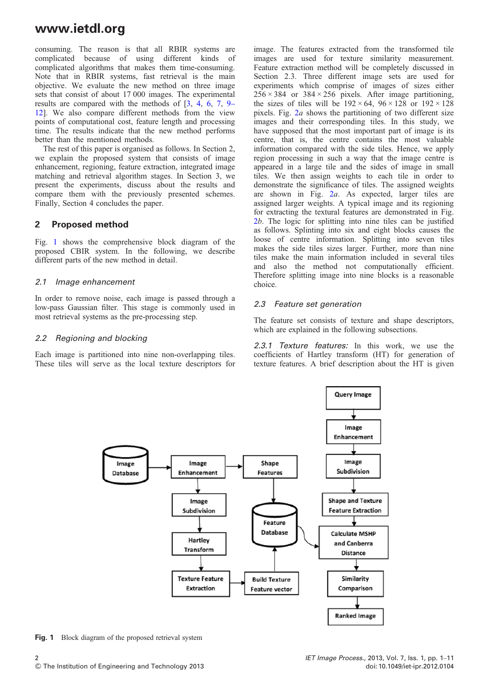consuming. The reason is that all RBIR systems are complicated because of using different kinds of complicated algorithms that makes them time-consuming. Note that in RBIR systems, fast retrieval is the main objective. We evaluate the new method on three image sets that consist of about 17 000 images. The experimental results are compared with the methods of [3, 4, 6, 7, 9– 12]. We also compare different methods from the view points of computational cost, feature length and processing time. The results indicate that the new method performs better than the mentioned methods.

The rest of this paper is organised as follows. In Section 2, we explain the proposed system that consists of image enhancement, regioning, feature extraction, integrated image matching and retrieval algorithm stages. In Section 3, we present the experiments, discuss about the results and compare them with the previously presented schemes. Finally, Section 4 concludes the paper.

# 2 Proposed method

Fig. 1 shows the comprehensive block diagram of the proposed CBIR system. In the following, we describe different parts of the new method in detail.

# 2.1 Image enhancement

In order to remove noise, each image is passed through a low-pass Gaussian filter. This stage is commonly used in most retrieval systems as the pre-processing step.

# 2.2 Regioning and blocking

Each image is partitioned into nine non-overlapping tiles. These tiles will serve as the local texture descriptors for

image. The features extracted from the transformed tile images are used for texture similarity measurement. Feature extraction method will be completely discussed in Section 2.3. Three different image sets are used for experiments which comprise of images of sizes either  $256 \times 384$  or  $384 \times 256$  pixels. After image partitioning, the sizes of tiles will be  $192 \times 64$ ,  $96 \times 128$  or  $192 \times 128$ pixels. Fig. 2a shows the partitioning of two different size images and their corresponding tiles. In this study, we have supposed that the most important part of image is its centre, that is, the centre contains the most valuable information compared with the side tiles. Hence, we apply region processing in such a way that the image centre is appeared in a large tile and the sides of image in small tiles. We then assign weights to each tile in order to demonstrate the significance of tiles. The assigned weights are shown in Fig. 2a. As expected, larger tiles are assigned larger weights. A typical image and its regioning for extracting the textural features are demonstrated in Fig. 2*b*. The logic for splitting into nine tiles can be justified as follows. Splinting into six and eight blocks causes the loose of centre information. Splitting into seven tiles makes the side tiles sizes larger. Further, more than nine tiles make the main information included in several tiles and also the method not computationally efficient. Therefore splitting image into nine blocks is a reasonable choice.

# 2.3 Feature set generation

The feature set consists of texture and shape descriptors, which are explained in the following subsections.

2.3.1 Texture features: In this work, we use the coefficients of Hartley transform (HT) for generation of texture features. A brief description about the HT is given



Fig. 1 Block diagram of the proposed retrieval system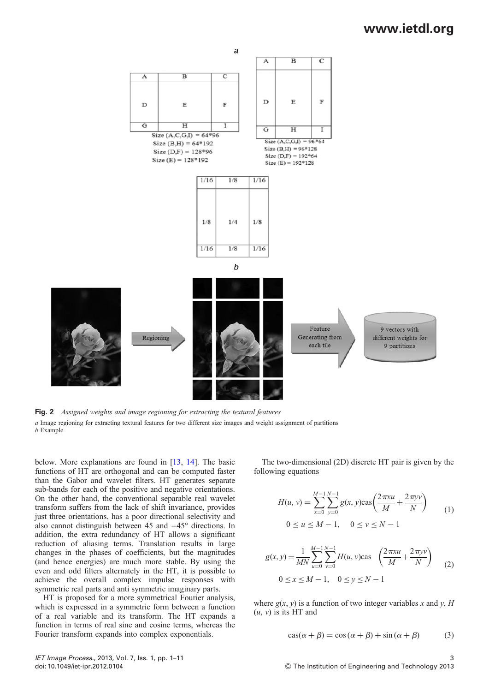

Fig. 2 Assigned weights and image regioning for extracting the textural features a Image regioning for extracting textural features for two different size images and weight assignment of partitions b Example

below. More explanations are found in [13, 14]. The basic functions of HT are orthogonal and can be computed faster than the Gabor and wavelet filters. HT generates separate sub-bands for each of the positive and negative orientations. On the other hand, the conventional separable real wavelet transform suffers from the lack of shift invariance, provides just three orientations, has a poor directional selectivity and also cannot distinguish between 45 and −45° directions. In addition, the extra redundancy of HT allows a significant reduction of aliasing terms. Translation results in large changes in the phases of coefficients, but the magnitudes (and hence energies) are much more stable. By using the even and odd filters alternately in the HT, it is possible to achieve the overall complex impulse responses with symmetric real parts and anti symmetric imaginary parts.

HT is proposed for a more symmetrical Fourier analysis, which is expressed in a symmetric form between a function of a real variable and its transform. The HT expands a function in terms of real sine and cosine terms, whereas the Fourier transform expands into complex exponentials.

The two-dimensional (2D) discrete HT pair is given by the following equations

$$
H(u, v) = \sum_{x=0}^{M-1} \sum_{y=0}^{N-1} g(x, y) \cos\left(\frac{2\pi xu}{M} + \frac{2\pi yv}{N}\right)
$$
  
0 \le u \le M - 1, 0 \le v \le N - 1

$$
g(x, y) = \frac{1}{MN} \sum_{u=0}^{M-1} \sum_{v=0}^{N-1} H(u, v) \text{cas } \left( \frac{2\pi x u}{M} + \frac{2\pi y v}{N} \right) \tag{2}
$$
  

$$
0 \le x \le M - 1, \quad 0 \le y \le N - 1
$$

where  $g(x, y)$  is a function of two integer variables x and y, H  $(u, v)$  is its HT and

$$
\cos(\alpha + \beta) = \cos(\alpha + \beta) + \sin(\alpha + \beta)
$$
 (3)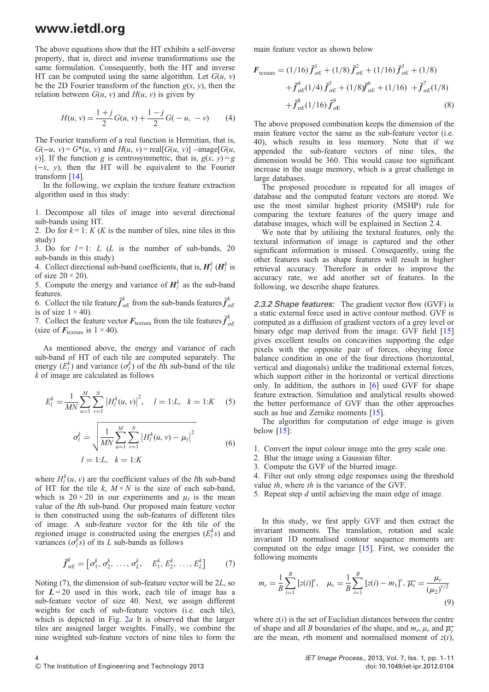The above equations show that the HT exhibits a self-inverse property, that is, direct and inverse transformations use the same formulation. Consequently, both the HT and inverse HT can be computed using the same algorithm. Let  $G(u, v)$ be the 2D Fourier transform of the function  $g(x, y)$ , then the relation between  $G(u, v)$  and  $H(u, v)$  is given by

$$
H(u, v) = \frac{1+j}{2}G(u, v) + \frac{1-j}{2}G(-u, -v)
$$
 (4)

The Fourier transform of a real function is Hermitian, that is,  $G(-u, v) = G^*(u, v)$  and  $H(u, v) = \text{real}[G(u, v)] - \text{image}[G(u, v)]$ v)]. If the function g is centrosymmetric, that is,  $g(x, y) = g$  $(-x, y)$ , then the HT will be equivalent to the Fourier transform [14].

In the following, we explain the texture feature extraction algorithm used in this study:

1. Decompose all tiles of image into several directional sub-bands using HT.

2. Do for  $k = 1$ :  $K(K)$  is the number of tiles, nine tiles in this study)

3. Do for  $l=1$ : L (L is the number of sub-bands, 20 sub-bands in this study)

4. Collect directional sub-band coefficients, that is,  $\mathbf{H}_l^k$  ( $\mathbf{H}_l^k$  is of size  $20 \times 20$ ).

5. Compute the energy and variance of  $H_l^k$  as the sub-band features.

6. Collect the tile feature  $\bar{f}_{\alpha E}^k$  from the sub-bands features  $\bar{f}_{\alpha E}^k$  $\sigma E$ is of size  $1 \times 40$ ).

7. Collect the feature vector  $F_{\text{texture}}$  from the tile features  $\overline{f}_c^k$ σE (size of  $F_{\text{texture}}$  is  $1 \times 40$ ).

As mentioned above, the energy and variance of each sub-band of HT of each tile are computed separately. The energy  $(E_l^k)$  and variance  $(\sigma_l^k)$  of the *l*th sub-band of the tile k of image are calculated as follows

$$
E_l^k = \frac{1}{MN} \sum_{u=1}^M \sum_{v=1}^N |H_l^k(u, v)|^2, \quad l = 1:L, \quad k = 1:K \quad (5)
$$

$$
\sigma_l^k = \sqrt{\frac{1}{MN} \sum_{v=1}^M \sum_{v=1}^N |H_l^k(u, v) - \mu_l|^2}
$$

$$
\sigma_l^k = \sqrt{\frac{1}{MN} \sum_{u=1}^{M} \sum_{v=1}^{M} |H_l^k(u, v) - \mu_l|^2}
$$
\n
$$
l = 1:L, \quad k = 1:K
$$
\n(6)

where  $H_l^k(u, v)$  are the coefficient values of the *l*th sub-band of HT for the tile k,  $M \times N$  is the size of each sub-band, which is  $20 \times 20$  in our experiments and  $\mu_l$  is the mean value of the lth sub-band. Our proposed main feature vector is then constructed using the sub-features of different tiles of image. A sub-feature vector for the kth tile of the regioned image is constructed using the energies  $(E_i^k s)$  and variances  $(\sigma_i^k \tilde{s})$  of its L sub-bands as follows

$$
\bar{\bm{f}}_{\sigma E}^{k} = \begin{bmatrix} \sigma_1^{k}, \, \sigma_2^{k}, \, \ldots, \, \sigma_L^{k}, \, E_1^{k}, E_2^{k}, \, \ldots, E_L^{k} \end{bmatrix} \tag{7}
$$

Noting (7), the dimension of sub-feature vector will be 2L, so for  $L = 20$  used in this work, each tile of image has a sub-feature vector of size 40. Next, we assign different weights for each of sub-feature vectors (i.e. each tile), which is depicted in Fig. 2*a* It is observed that the larger tiles are assigned larger weights. Finally, we combine the nine weighted sub-feature vectors of nine tiles to form the main feature vector as shown below

$$
F_{\text{texture}} = (1/16) \bar{f}_{\sigma E}^1 + (1/8) \bar{f}_{\sigma E}^2 + (1/16) \bar{f}_{\sigma E}^3 + (1/8) + \bar{f}_{\sigma E}^4 (1/4) \bar{f}_{\sigma E}^5 + (1/8) \bar{f}_{\sigma E}^6 + (1/16) + \bar{f}_{\sigma E}^7 (1/8) + \bar{f}_{\sigma E}^8 (1/16) \bar{f}_{\sigma E}^9
$$
(8)

The above proposed combination keeps the dimension of the main feature vector the same as the sub-feature vector (i.e. 40), which results in less memory. Note that if we appended the sub-feature vectors of nine tiles, the dimension would be 360. This would cause too significant increase in the usage memory, which is a great challenge in large databases.

The proposed procedure is repeated for all images of database and the computed feature vectors are stored. We use the most similar highest priority (MSHP) rule for comparing the texture features of the query image and database images, which will be explained in Section 2.4.

We note that by utilising the textural features, only the textural information of image is captured and the other significant information is missed. Consequently, using the other features such as shape features will result in higher retrieval accuracy. Therefore in order to improve the accuracy rate, we add another set of features. In the following, we describe shape features.

2.3.2 Shape features: The gradient vector flow (GVF) is a static external force used in active contour method. GVF is computed as a diffusion of gradient vectors of a grey level or binary edge map derived from the image. GVF field [15] gives excellent results on concavities supporting the edge pixels with the opposite pair of forces, obeying force balance condition in one of the four directions (horizontal, vertical and diagonals) unlike the traditional external forces, which support either in the horizontal or vertical directions only. In addition, the authors in [6] used GVF for shape feature extraction. Simulation and analytical results showed the better performance of GVF than the other approaches such as hue and Zernike moments [15].

The algorithm for computation of edge image is given below  $[15]$ :

- 1. Convert the input colour image into the grey scale one.
- 2. Blur the image using a Gaussian filter.
- 3. Compute the GVF of the blurred image.

4. Filter out only strong edge responses using the threshold value th, where th is the variance of the GVF.

5. Repeat step d until achieving the main edge of image.

In this study, we first apply GVF and then extract the invariant moments. The translation, rotation and scale invariant 1D normalised contour sequence moments are computed on the edge image [15]. First, we consider the following moments

$$
m_r = \frac{1}{B} \sum_{i=1}^{B} \left[ z(i) \right]^r, \quad \mu_r = \frac{1}{B} \sum_{i=1}^{B} \left[ z(i) - m_1 \right]^r, \overline{\mu_r} = \frac{\mu_r}{(\mu_2)^{r/2}} \tag{9}
$$

where  $z(i)$  is the set of Euclidian distances between the centre of shape and all B boundaries of the shape, and  $m_r$ ,  $\mu_r$  and  $\overline{\mu_r}$ are the mean, *r*th moment and normalised moment of  $z(i)$ ,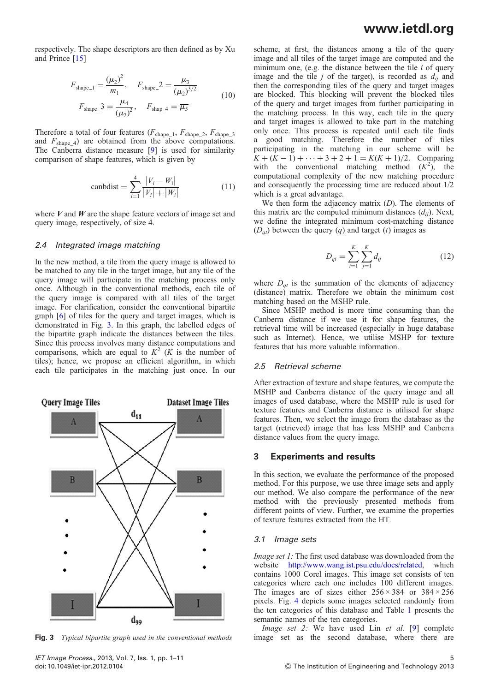respectively. The shape descriptors are then defined as by Xu and Prince [15]

$$
F_{\text{shape\_1}} = \frac{(\mu_2)^2}{m_1}, \quad F_{\text{shape\_2}} = \frac{\mu_3}{(\mu_2)^{3/2}}
$$
  

$$
F_{\text{shape\_3}} = \frac{\mu_4}{(\mu_2)^2}, \quad F_{\text{shape\_4}} = \overline{\mu_5}
$$
 (10)

Therefore a total of four features ( $F_{shape\_1}$ ,  $F_{shape\_2}$ ,  $F_{shape\_3}$ and  $F_{shape\_4}$ ) are obtained from the above computations. The Canberra distance measure [9] is used for similarity comparison of shape features, which is given by

$$
canbdist = \sum_{i=1}^{4} \frac{|V_i - W_i|}{|V_i| + |W_i|}
$$
 (11)

where  $V$  and  $W$  are the shape feature vectors of image set and query image, respectively, of size 4.

#### 2.4 Integrated image matching

In the new method, a tile from the query image is allowed to be matched to any tile in the target image, but any tile of the query image will participate in the matching process only once. Although in the conventional methods, each tile of the query image is compared with all tiles of the target image. For clarification, consider the conventional bipartite graph [6] of tiles for the query and target images, which is demonstrated in Fig. 3. In this graph, the labelled edges of the bipartite graph indicate the distances between the tiles. Since this process involves many distance computations and comparisons, which are equal to  $K^2$  (K is the number of tiles); hence, we propose an efficient algorithm, in which each tile participates in the matching just once. In our



scheme, at first, the distances among a tile of the query image and all tiles of the target image are computed and the minimum one, (e.g. the distance between the tile  $i$  of query image and the tile  $j$  of the target), is recorded as  $d_{ij}$  and then the corresponding tiles of the query and target images are blocked. This blocking will prevent the blocked tiles of the query and target images from further participating in the matching process. In this way, each tile in the query and target images is allowed to take part in the matching only once. This process is repeated until each tile finds a good matching. Therefore the number of tiles participating in the matching in our scheme will be  $K + (K - 1) + \cdots + 3 + 2 + 1 = K(K + 1)/2$ . Comparing with the conventional matching method  $(K^2)$ , the computational complexity of the new matching procedure and consequently the processing time are reduced about 1/2 which is a great advantage.

We then form the adjacency matrix  $(D)$ . The elements of this matrix are the computed minimum distances  $(d_{ii})$ . Next, we define the integrated minimum cost-matching distance  $(D_{at})$  between the query  $(q)$  and target  $(t)$  images as

$$
D_{qt} = \sum_{i=1}^{K} \sum_{j=1}^{K} d_{ij}
$$
 (12)

where  $D_{at}$  is the summation of the elements of adjacency (distance) matrix. Therefore we obtain the minimum cost matching based on the MSHP rule.

Since MSHP method is more time consuming than the Canberra distance if we use it for shape features, the retrieval time will be increased (especially in huge database such as Internet). Hence, we utilise MSHP for texture features that has more valuable information.

### 2.5 Retrieval scheme

After extraction of texture and shape features, we compute the MSHP and Canberra distance of the query image and all images of used database, where the MSHP rule is used for texture features and Canberra distance is utilised for shape features. Then, we select the image from the database as the target (retrieved) image that has less MSHP and Canberra distance values from the query image.

### 3 Experiments and results

In this section, we evaluate the performance of the proposed method. For this purpose, we use three image sets and apply our method. We also compare the performance of the new method with the previously presented methods from different points of view. Further, we examine the properties of texture features extracted from the HT.

#### 3.1 Image sets

Image set 1: The first used database was downloaded from the website http://www.wang.ist.psu.edu/docs/related, which contains 1000 Corel images. This image set consists of ten categories where each one includes 100 different images. The images are of sizes either  $256 \times 384$  or  $384 \times 256$ pixels. Fig. 4 depicts some images selected randomly from the ten categories of this database and Table 1 presents the semantic names of the ten categories.

Image set 2: We have used Lin et al. [9] complete Fig. 3 Typical bipartite graph used in the conventional methods image set as the second database, where there are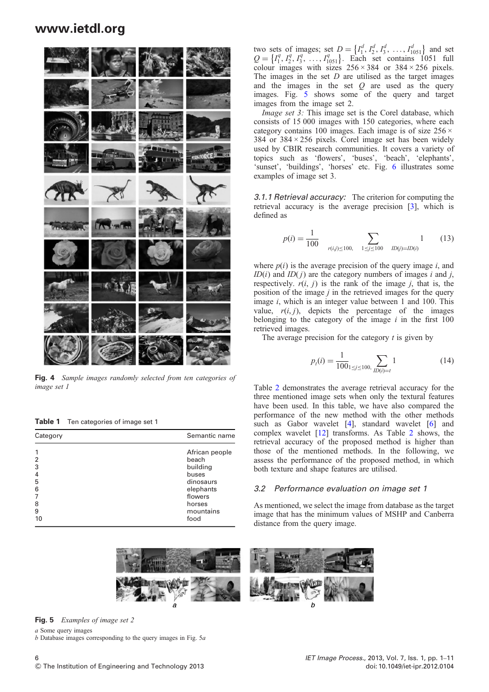

Fig. 4 Sample images randomly selected from ten categories of image set 1

Table 1 Ten categories of image set 1

| Category            | Semantic name           |
|---------------------|-------------------------|
| $\overline{2}$      | African people<br>beach |
| 3                   | building                |
| $\overline{4}$<br>5 | buses<br>dinosaurs      |
| 6<br>7              | elephants<br>flowers    |
| 8<br>9              | horses<br>mountains     |
| 10                  | food                    |



Fig. 5 Examples of image set 2

a Some query images

 $b$  Database images corresponding to the query images in Fig.  $5a$ 

two sets of images; set  $D = \{I_1^d, I_2^d, I_3^d, \ldots, I_{1051}^d\}$  and set  $Q = \{I_1^q, I_2^q, I_3^q, \ldots, I_{1051}^q\}$ . Each set contains 1051 full colour images with sizes  $256 \times 384$  or  $384 \times 256$  pixels. The images in the set  $D$  are utilised as the target images and the images in the set  $Q$  are used as the query images. Fig. 5 shows some of the query and target images from the image set 2.

Image set 3: This image set is the Corel database, which consists of 15 000 images with 150 categories, where each category contains 100 images. Each image is of size  $256 \times$ 384 or  $384 \times 256$  pixels. Corel image set has been widely used by CBIR research communities. It covers a variety of topics such as 'flowers', 'buses', 'beach', 'elephants', 'sunset', 'buildings', 'horses' etc. Fig. 6 illustrates some examples of image set 3.

3.1.1 Retrieval accuracy: The criterion for computing the retrieval accuracy is the average precision [3], which is defined as

$$
p(i) = \frac{1}{100} \sum_{r(i,j) \le 100, \quad 1 \le j \le 100} \frac{1}{ID(j) = ID(i)} \tag{13}
$$

where  $p(i)$  is the average precision of the query image i, and  $ID(i)$  and  $ID(j)$  are the category numbers of images i and j, respectively.  $r(i, j)$  is the rank of the image j, that is, the position of the image j in the retrieved images for the query image *i*, which is an integer value between 1 and 100. This value,  $r(i, j)$ , depicts the percentage of the images belonging to the category of the image  $i$  in the first 100 retrieved images.

The average precision for the category  $t$  is given by

$$
p_t(i) = \frac{1}{100} \sum_{1 \le j \le 100,} \sum_{ID(i)=t} 1
$$
 (14)

Table 2 demonstrates the average retrieval accuracy for the three mentioned image sets when only the textural features have been used. In this table, we have also compared the performance of the new method with the other methods such as Gabor wavelet [4], standard wavelet [6] and complex wavelet [12] transforms. As Table 2 shows, the retrieval accuracy of the proposed method is higher than those of the mentioned methods. In the following, we assess the performance of the proposed method, in which both texture and shape features are utilised.

# 3.2 Performance evaluation on image set 1

As mentioned, we select the image from database as the target image that has the minimum values of MSHP and Canberra distance from the query image.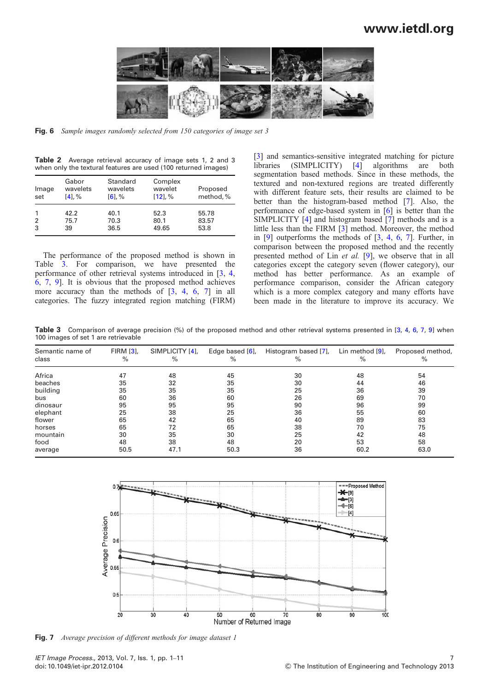

Fig. 6 Sample images randomly selected from 150 categories of image set 3

Table 2 Average retrieval accuracy of image sets 1, 2 and 3 when only the textural features are used (100 returned images)

| Image<br>set        | Gabor<br>wavelets<br>$[4]$ , % | Standard<br>wavelets<br>$[6]$ , % | Complex<br>wavelet<br>[12], % | Proposed<br>method, %  |
|---------------------|--------------------------------|-----------------------------------|-------------------------------|------------------------|
| $\overline{2}$<br>3 | 42.2<br>75.7<br>39             | 40.1<br>70.3<br>36.5              | 52.3<br>80.1<br>49.65         | 55.78<br>83.57<br>53.8 |

The performance of the proposed method is shown in Table 3. For comparison, we have presented the performance of other retrieval systems introduced in [3, 4, 6, 7, 9]. It is obvious that the proposed method achieves more accuracy than the methods of [3, 4, 6, 7] in all categories. The fuzzy integrated region matching (FIRM)

[3] and semantics-sensitive integrated matching for picture libraries (SIMPLICITY) [4] algorithms are both segmentation based methods. Since in these methods, the textured and non-textured regions are treated differently with different feature sets, their results are claimed to be better than the histogram-based method [7]. Also, the performance of edge-based system in [6] is better than the SIMPLICITY [4] and histogram based [7] methods and is a little less than the FIRM [3] method. Moreover, the method in [9] outperforms the methods of [3, 4, 6, 7]. Further, in comparison between the proposed method and the recently presented method of Lin et al. [9], we observe that in all categories except the category seven (flower category), our method has better performance. As an example of performance comparison, consider the African category which is a more complex category and many efforts have been made in the literature to improve its accuracy. We

Table 3 Comparison of average precision (%) of the proposed method and other retrieval systems presented in [3, 4, 6, 7, 9] when 100 images of set 1 are retrievable

| Semantic name of<br>class | <b>FIRM [3],</b><br>$\%$ | SIMPLICITY [4],<br>% | Edge based [6],<br>$\%$ | Histogram based [7],<br>$\%$ | Lin method [9],<br>$\%$ | Proposed method,<br>$\%$ |
|---------------------------|--------------------------|----------------------|-------------------------|------------------------------|-------------------------|--------------------------|
| Africa                    | 47                       | 48                   | 45                      | 30                           | 48                      | 54                       |
| beaches                   | 35                       | 32                   | 35                      | 30                           | 44                      | 46                       |
| building                  | 35                       | 35                   | 35                      | 25                           | 36                      | 39                       |
| bus                       | 60                       | 36                   | 60                      | 26                           | 69                      | 70                       |
| dinosaur                  | 95                       | 95                   | 95                      | 90                           | 96                      | 99                       |
| elephant                  | 25                       | 38                   | 25                      | 36                           | 55                      | 60                       |
| flower                    | 65                       | 42                   | 65                      | 40                           | 89                      | 83                       |
| horses                    | 65                       | 72                   | 65                      | 38                           | 70                      | 75                       |
| mountain                  | 30                       | 35                   | 30                      | 25                           | 42                      | 48                       |
| food                      | 48                       | 38                   | 48                      | 20                           | 53                      | 58                       |
| average                   | 50.5                     | 47.1                 | 50.3                    | 36                           | 60.2                    | 63.0                     |



Fig. 7 Average precision of different methods for image dataset 1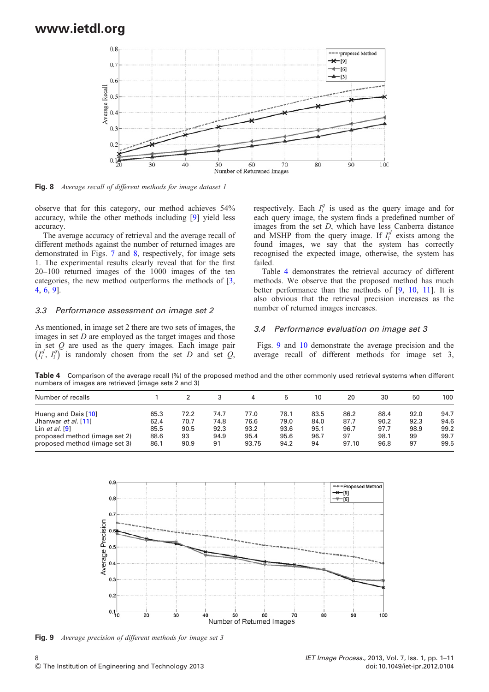

Fig. 8 Average recall of different methods for image dataset 1

observe that for this category, our method achieves 54% accuracy, while the other methods including [9] yield less accuracy.

The average accuracy of retrieval and the average recall of different methods against the number of returned images are demonstrated in Figs. 7 and 8, respectively, for image sets 1. The experimental results clearly reveal that for the first 20–100 returned images of the 1000 images of the ten categories, the new method outperforms the methods of [3, 4, 6, 9].

### 3.3 Performance assessment on image set 2

As mentioned, in image set 2 there are two sets of images, the images in set  $D$  are employed as the target images and those in set  $Q$  are used as the query images. Each image pair  $(I_i^d, I_i^q)$  is randomly chosen from the set D and set Q,

respectively. Each  $I_i^q$  is used as the query image and for each query image, the system finds a predefined number of images from the set  $D$ , which have less Canberra distance and MSHP from the query image. If  $I_i^d$  exists among the found images, we say that the system has correctly recognised the expected image, otherwise, the system has failed.

Table 4 demonstrates the retrieval accuracy of different methods. We observe that the proposed method has much better performance than the methods of [9, 10, 11]. It is also obvious that the retrieval precision increases as the number of returned images increases.

### 3.4 Performance evaluation on image set 3

Figs. 9 and 10 demonstrate the average precision and the average recall of different methods for image set 3,

Table 4 Comparison of the average recall (%) of the proposed method and the other commonly used retrieval systems when different numbers of images are retrieved (image sets 2 and 3)

| Number of recalls             |      |      |      |       | h.   | 10   | 20    | 30   | 50   | 100  |
|-------------------------------|------|------|------|-------|------|------|-------|------|------|------|
| Huang and Dais [10]           | 65.3 | 72.2 | 74.7 | 77.0  | 78.1 | 83.5 | 86.2  | 88.4 | 92.0 | 94.7 |
| Jhanwar et al. [11]           | 62.4 | 70.7 | 74.8 | 76.6  | 79.0 | 84.0 | 87.7  | 90.2 | 92.3 | 94.6 |
| Lin $et$ al. $[9]$            | 85.5 | 90.5 | 92.3 | 93.2  | 93.6 | 95.1 | 96.7  | 97.7 | 98.9 | 99.2 |
| proposed method (image set 2) | 88.6 | 93   | 94.9 | 95.4  | 95.6 | 96.7 | 97    | 98.1 | 99   | 99.7 |
| proposed method (image set 3) | 86.1 | 90.9 | 91   | 93.75 | 94.2 | 94   | 97.10 | 96.8 | 97   | 99.5 |



Fig. 9 Average precision of different methods for image set 3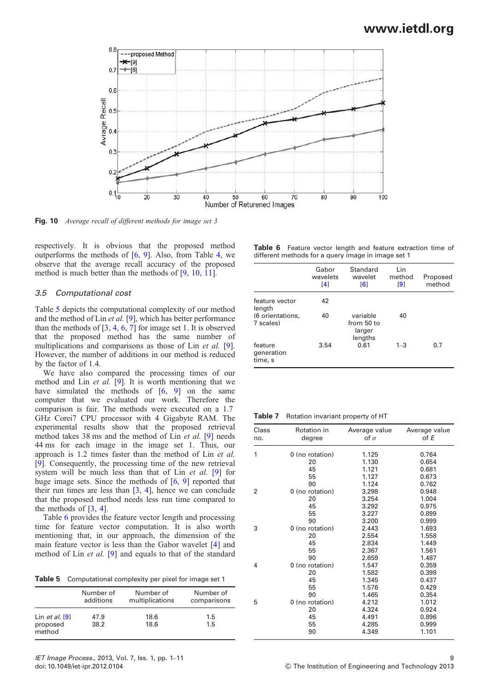

Fig. 10 Average recall of different methods for image set 3

respectively. It is obvious that the proposed method outperforms the methods of  $[6, 9]$ . Also, from Table 4, we observe that the average recall accuracy of the proposed method is much better than the methods of [9, 10, 11].

### 3.5 Computational cost

Table 5 depicts the computational complexity of our method and the method of Lin  $et$  al. [9], which has better performance than the methods of  $[3, 4, 6, 7]$  for image set 1. It is observed that the proposed method has the same number of multiplications and comparisons as those of Lin *et al.* [9]. However, the number of additions in our method is reduced by the factor of 1.4.

We have also compared the processing times of our method and Lin et al. [9]. It is worth mentioning that we have simulated the methods of  $[6, 9]$  on the same computer that we evaluated our work. Therefore the comparison is fair. The methods were executed on a 1.7 GHz Corei7 CPU processor with 4 Gigabyte RAM. The experimental results show that the proposed retrieval method takes 38 ms and the method of Lin et al. [9] needs 44 ms for each image in the image set 1. Thus, our approach is 1.2 times faster than the method of Lin et al. [9]. Consequently, the processing time of the new retrieval system will be much less than that of Lin et al. [9] for huge image sets. Since the methods of  $[6, 9]$  reported that their run times are less than [3, 4], hence we can conclude that the proposed method needs less run time compared to the methods of [3, 4].

Table 6 provides the feature vector length and processing time for feature vector computation. It is also worth mentioning that, in our approach, the dimension of the main feature vector is less than the Gabor wavelet [4] and method of Lin et al. [9] and equals to that of the standard

Table 5 Computational complexity per pixel for image set 1

|                    | Number of<br>additions | Number of<br>multiplications | Number of<br>comparisons |
|--------------------|------------------------|------------------------------|--------------------------|
| Lin $et$ al. $[9]$ | 47.9                   | 18.6                         | 1.5                      |
| proposed<br>method | 38.2                   | 18.6                         | 1.5                      |

Table 6 Feature vector length and feature extraction time of different methods for a query image in image set 1

|                                  | Gabor<br>wavelets<br>[4] | Standard<br>wavelet<br>[6]                  | Lin<br>method<br>[9] | Proposed<br>method |
|----------------------------------|--------------------------|---------------------------------------------|----------------------|--------------------|
| feature vector<br>length         | 42                       |                                             |                      |                    |
| (6 orientations,<br>7 scales)    | 40                       | variable<br>from 50 to<br>larger<br>lengths | 40                   |                    |
| feature<br>generation<br>time, s | 3.54                     | 0.61                                        | $1 - 3$              | 0.7                |

Table 7 Rotation invariant property of HT

| Class<br>no. | Rotation in<br>degree | Average value<br>of $\sigma$ | Average value<br>of E |
|--------------|-----------------------|------------------------------|-----------------------|
| 1            | 0 (no rotation)       | 1.125                        | 0.764                 |
|              | 20                    | 1.130                        | 0.654                 |
|              | 45                    | 1.121                        | 0.681                 |
|              | 55                    | 1.127                        | 0.673                 |
|              | 90                    | 1.124                        | 0.762                 |
| 2            | 0 (no rotation)       | 3.298                        | 0.948                 |
|              | 20                    | 3.254                        | 1.004                 |
|              | 45                    | 3.292                        | 0.975                 |
|              | 55                    | 3.227                        | 0.899                 |
|              | 90                    | 3.200                        | 0.999                 |
| 3            | 0 (no rotation)       | 2.443                        | 1.693                 |
|              | 20                    | 2.554                        | 1.558                 |
|              | 45                    | 2.834                        | 1.449                 |
|              | 55                    | 2.367                        | 1.561                 |
|              | 90                    | 2.659                        | 1.487                 |
| 4            | 0 (no rotation)       | 1.547                        | 0.359                 |
|              | 20                    | 1.582                        | 0.398                 |
|              | 45                    | 1.345                        | 0.437                 |
|              | 55                    | 1.576                        | 0.429                 |
|              | 90                    | 1.465                        | 0.354                 |
| 5            | 0 (no rotation)       | 4.212                        | 1.012                 |
|              | 20                    | 4.324                        | 0.924                 |
|              | 45                    | 4.491                        | 0.896                 |
|              | 55                    | 4.285                        | 0.999                 |
|              | 90                    | 4.349                        | 1.101                 |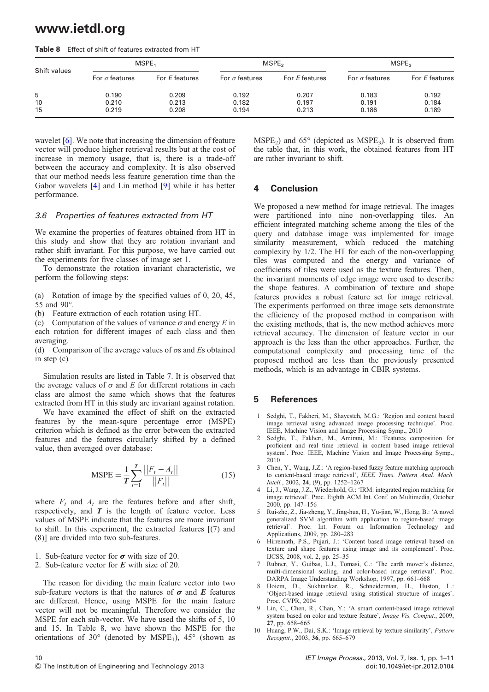|  | Table 8 Effect of shift of features extracted from HT |  |  |  |  |
|--|-------------------------------------------------------|--|--|--|--|
|--|-------------------------------------------------------|--|--|--|--|

| Shift values | MSPE <sub>1</sub>     |                |                       | MSPE <sub>2</sub> | MSPE <sub>3</sub>     |                |
|--------------|-----------------------|----------------|-----------------------|-------------------|-----------------------|----------------|
|              | For $\sigma$ features | For E features | For $\sigma$ features | For E features    | For $\sigma$ features | For E features |
| 5            | 0.190                 | 0.209          | 0.192                 | 0.207             | 0.183                 | 0.192          |
| 10           | 0.210                 | 0.213          | 0.182                 | 0.197             | 0.191                 | 0.184          |
| 15           | 0.219                 | 0.208          | 0.194                 | 0.213             | 0.186                 | 0.189          |

wavelet [6]. We note that increasing the dimension of feature vector will produce higher retrieval results but at the cost of increase in memory usage, that is, there is a trade-off between the accuracy and complexity. It is also observed that our method needs less feature generation time than the Gabor wavelets [4] and Lin method [9] while it has better performance.

#### 3.6 Properties of features extracted from HT

We examine the properties of features obtained from HT in this study and show that they are rotation invariant and rather shift invariant. For this purpose, we have carried out the experiments for five classes of image set 1.

To demonstrate the rotation invariant characteristic, we perform the following steps:

(a) Rotation of image by the specified values of 0, 20, 45, 55 and 90°.

(b) Feature extraction of each rotation using HT.

(c) Computation of the values of variance  $\sigma$  and energy E in each rotation for different images of each class and then averaging.

(d) Comparison of the average values of  $\sigma s$  and Es obtained in step (c).

Simulation results are listed in Table 7. It is observed that the average values of  $\sigma$  and E for different rotations in each class are almost the same which shows that the features extracted from HT in this study are invariant against rotation.

We have examined the effect of shift on the extracted features by the mean-squre percentage error (MSPE) criterion which is defined as the error between the extracted features and the features circularly shifted by a defined value, then averaged over database:

$$
\text{MSPE} = \frac{1}{T} \sum_{t=1}^{T} \frac{||F_t - A_t||}{||F_t||} \tag{15}
$$

where  $F_t$  and  $A_t$  are the features before and after shift, respectively, and  $\overline{T}$  is the length of feature vector. Less values of MSPE indicate that the features are more invariant to shift. In this experiment, the extracted features [(7) and (8)] are divided into two sub-features.

- 1. Sub-feature vector for  $\sigma$  with size of 20.
- 2. Sub-feature vector for  $E$  with size of 20.

The reason for dividing the main feature vector into two sub-feature vectors is that the natures of  $\sigma$  and E features are different. Hence, using MSPE for the main feature vector will not be meaningful. Therefore we consider the MSPE for each sub-vector. We have used the shifts of 5, 10 and 15. In Table 8, we have shown the MSPE for the orientations of 30 $\textdegree$  (denoted by MSPE<sub>1</sub>), 45 $\textdegree$  (shown as

 $MSPE<sub>2</sub>$ ) and 65 $\degree$  (depicted as MSPE<sub>3</sub>). It is observed from the table that, in this work, the obtained features from HT are rather invariant to shift.

### 4 Conclusion

We proposed a new method for image retrieval. The images were partitioned into nine non-overlapping tiles. An efficient integrated matching scheme among the tiles of the query and database image was implemented for image similarity measurement, which reduced the matching complexity by 1/2. The HT for each of the non-overlapping tiles was computed and the energy and variance of coefficients of tiles were used as the texture features. Then, the invariant moments of edge image were used to describe the shape features. A combination of texture and shape features provides a robust feature set for image retrieval. The experiments performed on three image sets demonstrate the efficiency of the proposed method in comparison with the existing methods, that is, the new method achieves more retrieval accuracy. The dimension of feature vector in our approach is the less than the other approaches. Further, the computational complexity and processing time of the proposed method are less than the previously presented methods, which is an advantage in CBIR systems.

### 5 References

- 1 Sedghi, T., Fakheri, M., Shayesteh, M.G.: 'Region and content based image retrieval using advanced image processing technique'. Proc. IEEE, Machine Vision and Image Processing Symp., 2010
- 2 Sedghi, T., Fakheri, M., Amirani, M.: 'Features composition for proficient and real time retrieval in content based image retrieval system'. Proc. IEEE, Machine Vision and Image Processing Symp., 2010
- 3 Chen, Y., Wang, J.Z.: 'A region-based fuzzy feature matching approach to content-based image retrieval', IEEE Trans. Pattern Anal. Mach. Intell., 2002, 24, (9), pp. 1252–1267
- 4 Li, J., Wang, J.Z., Wiederhold, G.: 'IRM: integrated region matching for image retrieval'. Proc. Eighth ACM Int. Conf. on Multimedia, October 2000, pp. 147–156
- 5 Rui-zhe, Z., Jia-zheng, Y., Jing-hua, H., Yu-jian, W., Hong, B.: 'A novel generalized SVM algorithm with application to region-based image retrieval'. Proc. Int. Forum on Information Technology and Applications, 2009, pp. 280–283
- Hirremath, P.S., Pujari, J.: 'Content based image retrieval based on texture and shape features using image and its complement'. Proc. IJCSS, 2008, vol. 2, pp. 25–35
- 7 Rubner, Y., Guibas, L.J., Tomasi, C.: 'The earth mover's distance, multi-dimensional scaling, and color-based image retrieval'. Proc. DARPA Image Understanding Workshop, 1997, pp. 661–668
- 8 Hoiem, D., Sukhtankar, R., Schneiderman, H., Huston, L.: 'Object-based image retrieval using statistical structure of images'. Proc. CVPR, 2004
- Lin, C., Chen, R., Chan, Y.: 'A smart content-based image retrieval system based on color and texture feature', Image Vis. Comput., 2009, 27, pp. 658–665
- 10 Huang, P.W., Dai, S.K.: 'Image retrieval by texture similarity', Pattern Recognit., 2003, 36, pp. 665–679